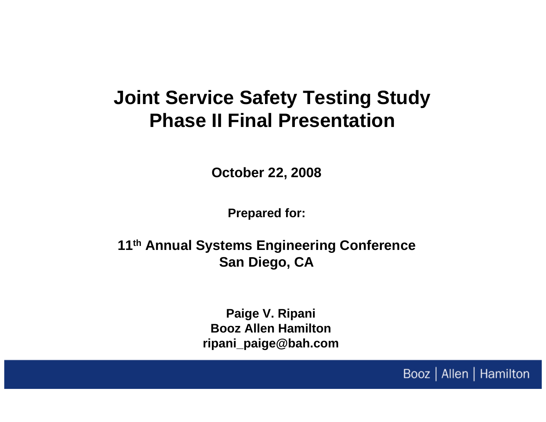## **Joint Service Safety Testing Study Phase II Final Presentation**

**October 22, 2008**

**Prepared for:**

**11th Annual Systems Engineering Conference San Diego, CA**

> **Paige V. Ripani Booz Allen Hamiltonripani\_paige@bah.com**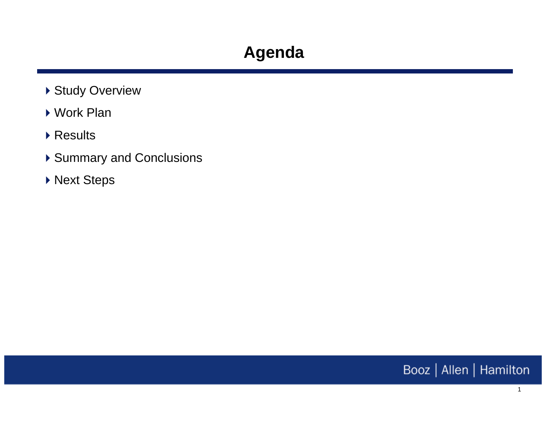- ▶ Study Overview
- Work Plan
- ▶ Results
- ▶ Summary and Conclusions
- ▶ Next Steps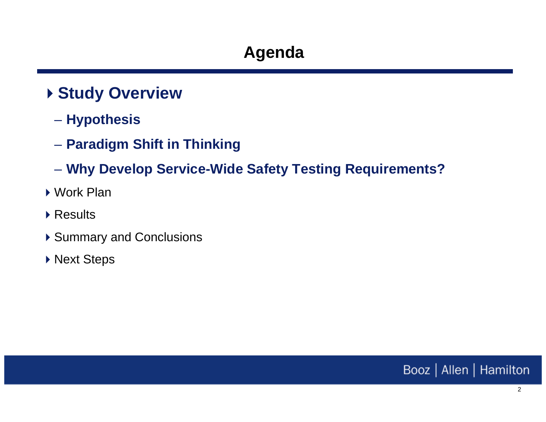### **Study Overview**

- $\mathcal{L}_{\mathcal{A}}$  , and the set of  $\mathcal{L}_{\mathcal{A}}$ **Hypothesis**
- $\mathcal{L}_{\mathcal{A}}$  , and the set of  $\mathcal{L}_{\mathcal{A}}$ **Paradigm Shift in Thinking**
- $\mathcal{L}_{\mathcal{A}}$  , and the set of  $\mathcal{L}_{\mathcal{A}}$ **Why Develop Service-Wide Safety Testing Requirements?**
- ▶ Work Plan
- ▶ Results
- ▶ Summary and Conclusions
- ▶ Next Steps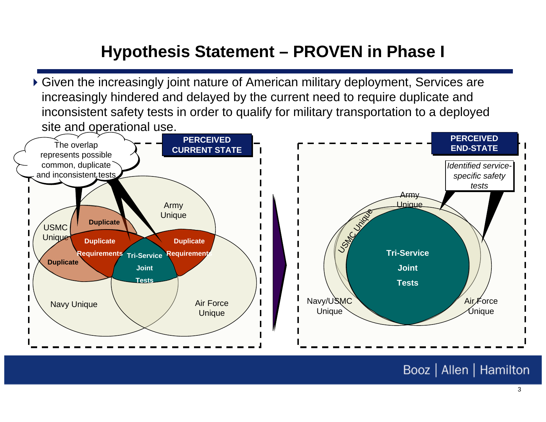### **Hypothesis Statement – PROVEN in Phase I**

inconsistent safety tests in order to qualify for military transportation to a deployed **Requirements** Given the increasingly joint nature of American military deployment, Services are increasingly hindered and delayed by the current need to require duplicate and site and operational use.

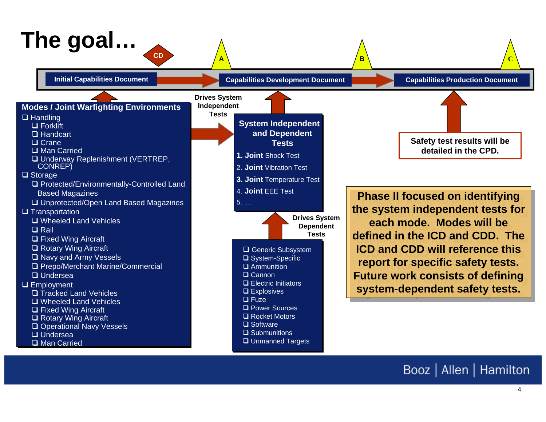# **The goal…**

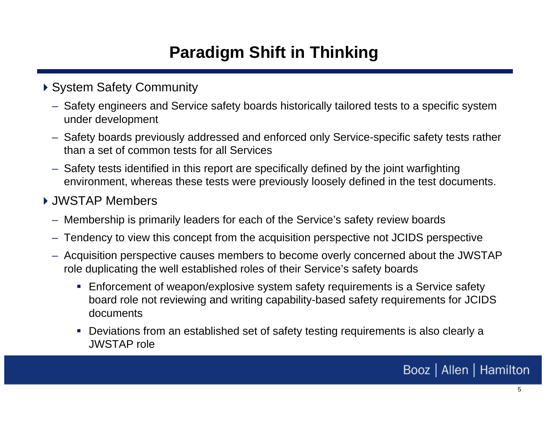### **Paradigm Shift in Thinking**

#### ▶ System Safety Community

- Safety engineers and Service safety boards historically tailored tests to a specific system under development
- Safety boards previously addressed and enforced only Service-specific safety tests rather than a set of common tests for all Services
- Safety tests identified in this report are specifically defined by the joint warfighting environment, whereas these tests were previously loosely defined in the test documents.

#### JWSTAP Members

- Membership is primarily leaders for each of the Service's safety review boards
- Tendency to view this concept from the acquisition perspective not JCIDS perspective
- Acquisition perspective causes members to become overly concerned about the JWSTAP role duplicating the well established roles of their Service's safety boards
	- Enforcement of weapon/explosive system safety requirements is a Service safety board role not reviewing and writing capability-based safety requirements for JCIDS documents
	- Deviations from an established set of safety testing requirements is also clearly a JWSTAP role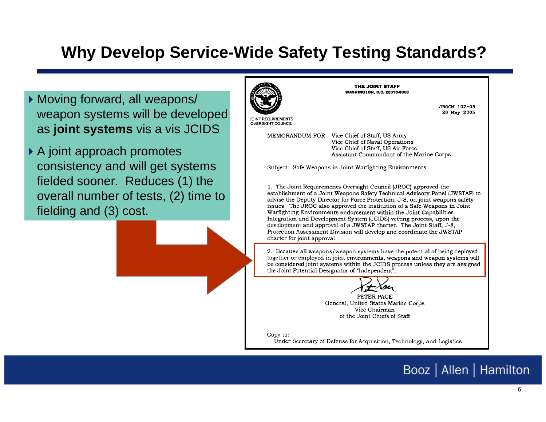### **Why Develop Service-Wide Safety Testing Standards?**

- Moving forward, all weapons/ weapon systems will be developed as **joint systems** vis a vis JCIDS
- ▶ A joint approach promotes consistency and will get systems fielded sooner. Reduces (1) the overall number of tests, (2) time to fielding and (3) cost.



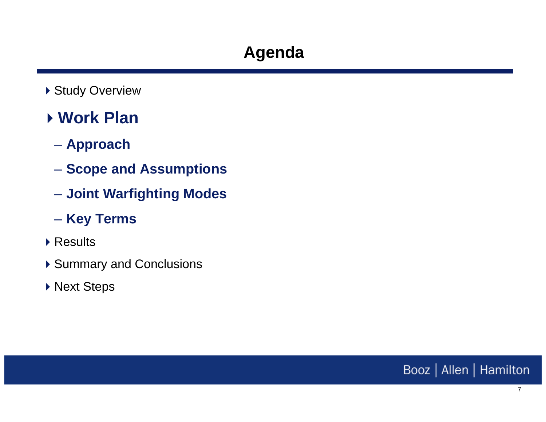▶ Study Overview

### **Work Plan**

- $\mathcal{L}_{\mathcal{A}}$  , and the set of  $\mathcal{L}_{\mathcal{A}}$ **Approach**
- $\mathcal{L}_{\mathcal{A}}$  , and the set of  $\mathcal{L}_{\mathcal{A}}$  $-$  Scope and Assumptions
- $\mathcal{L}_{\mathcal{A}}$  , and the set of  $\mathcal{L}_{\mathcal{A}}$ **Joint Warfighting Modes**
- $\mathcal{L}_{\mathcal{A}}$  , and the set of  $\mathcal{L}_{\mathcal{A}}$ **Key Terms**
- ▶ Results
- ▶ Summary and Conclusions
- ▶ Next Steps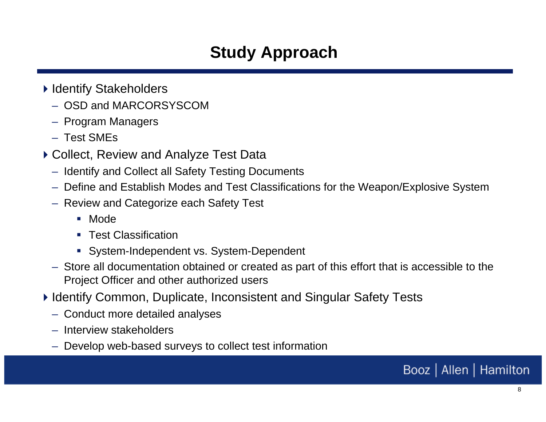### **Study Approach**

- ▶ Identify Stakeholders
	- OSD and MARCORSYSCOM
	- Program Managers
	- Test SMEs
- ▶ Collect, Review and Analyze Test Data
	- Identify and Collect all Safety Testing Documents
	- Define and Establish Modes and Test Classifications for the Weapon/Explosive System
	- Review and Categorize each Safety Test
		- Mode
		- **Test Classification**
		- System-Independent vs. System-Dependent
	- Store all documentation obtained or created as part of this effort that is accessible to the Project Officer and other authorized users
- ▶ Identify Common, Duplicate, Inconsistent and Singular Safety Tests
	- Conduct more detailed analyses
	- Interview stakeholders
	- Develop web-based surveys to collect test information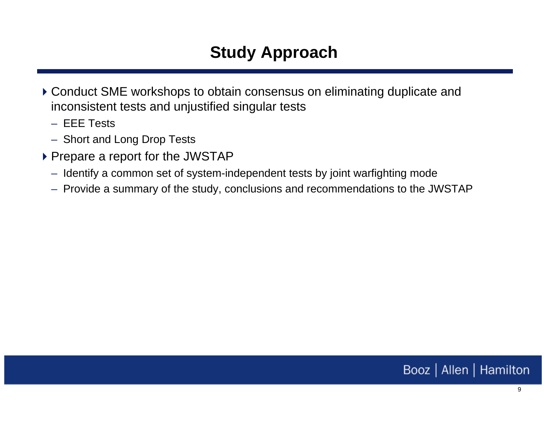### **Study Approach**

- Conduct SME workshops to obtain consensus on eliminating duplicate and inconsistent tests and unjustified singular tests
	- EEE Tests
	- Short and Long Drop Tests
- ▶ Prepare a report for the JWSTAP
	- Identify a common set of system-independent tests by joint warfighting mode
	- Provide a summary of the study, conclusions and recommendations to the JWSTAP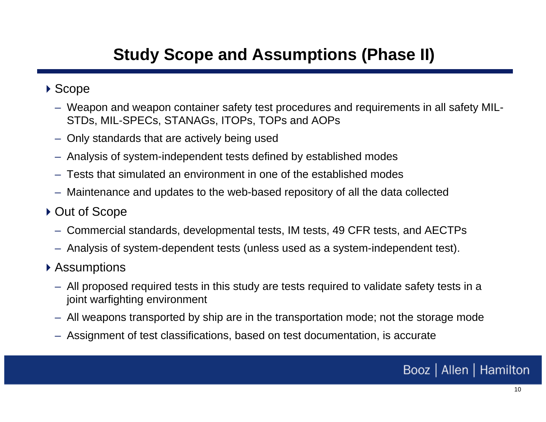### **Study Scope and Assumptions (Phase II)**

#### ▶ Scope

- Weapon and weapon container safety test procedures and requirements in all safety MIL-STDs, MIL-SPECs, STANAGs, ITOPs, TOPs and AOPs
- Only standards that are actively being used
- Analysis of system-independent tests defined by established modes
- Tests that simulated an environment in one of the established modes
- Maintenance and updates to the web-based repository of all the data collected
- ▶ Out of Scope
	- Commercial standards, developmental tests, IM tests, 49 CFR tests, and AECTPs
	- Analysis of system-dependent tests (unless used as a system-independent test).
- ▶ Assumptions
	- All proposed required tests in this study are tests required to validate safety tests in a joint warfighting environment
	- All weapons transported by ship are in the transportation mode; not the storage mode
	- Assignment of test classifications, based on test documentation, is accurate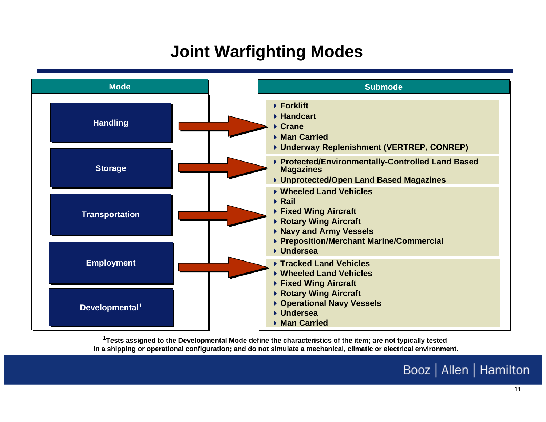### **Joint Warfighting Modes**



**1Tests assigned to the Developmental Mode define the characteristics of the item; are not typically tested in a shipping or operational configuration; and do not simulate a mechanical, climatic or electrical environment.**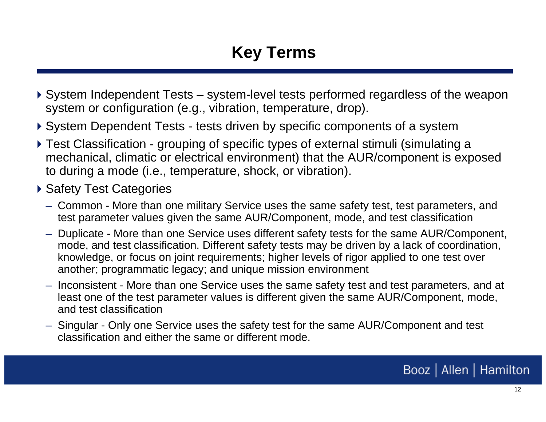### **Key Terms**

- System Independent Tests system-level tests performed regardless of the weapon system or configuration (e.g., vibration, temperature, drop).
- System Dependent Tests tests driven by specific components of a system
- Test Classification grouping of specific types of external stimuli (simulating a mechanical, climatic or electrical environment) that the AUR/component is exposed to during a mode (i.e., temperature, shock, or vibration).
- ▶ Safety Test Categories
	- Common More than one military Service uses the same safety test, test parameters, and test parameter values given the same AUR/Component, mode, and test classification
	- Duplicate More than one Service uses different safety tests for the same AUR/Component, mode, and test classification. Different safety tests may be driven by a lack of coordination, knowledge, or focus on joint requirements; higher levels of rigor applied to one test over another; programmatic legacy; and unique mission environment
	- Inconsistent More than one Service uses the same safety test and test parameters, and at least one of the test parameter values is different given the same AUR/Component, mode, and test classification
	- Singular Only one Service uses the safety test for the same AUR/Component and test classification and either the same or different mode.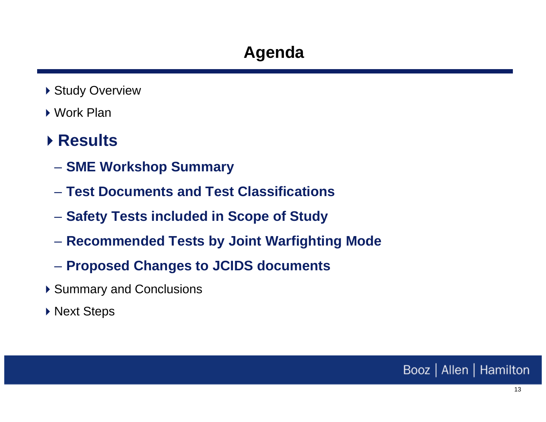- ▶ Study Overview
- ▶ Work Plan

### **Results**

- $\mathcal{L}_{\mathcal{A}}$  , and the set of  $\mathcal{L}_{\mathcal{A}}$ **SME Workshop Summary**
- **Test Documents and Test Classifications**
- $\mathcal{L}_{\mathcal{A}}$  , and the set of  $\mathcal{L}_{\mathcal{A}}$ **Safety Tests included in Scope of Study**
- $\mathcal{L}_{\mathcal{A}}$  , and the set of  $\mathcal{L}_{\mathcal{A}}$ **Recommended Tests by Joint Warfighting Mode**
- $\mathcal{L}_{\mathcal{A}}$  , and the set of  $\mathcal{L}_{\mathcal{A}}$ **Proposed Changes to JCIDS documents**
- ▶ Summary and Conclusions
- ▶ Next Steps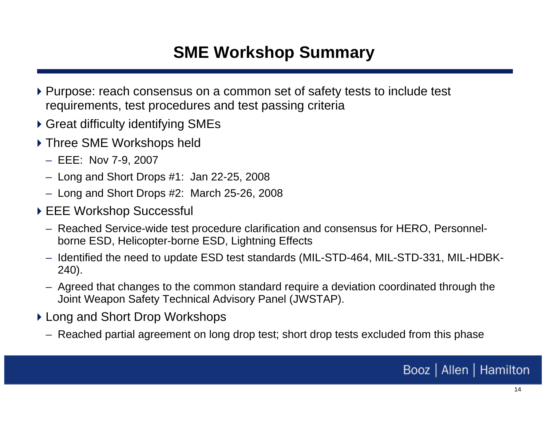### **SME Workshop Summary**

- ▶ Purpose: reach consensus on a common set of safety tests to include test requirements, test procedures and test passing criteria
- Great difficulty identifying SMEs
- ▶ Three SME Workshops held
	- EEE: Nov 7-9, 2007
	- Long and Short Drops #1: Jan 22-25, 2008
	- Long and Short Drops #2: March 25-26, 2008
- ▶ EEE Workshop Successful
	- Reached Service-wide test procedure clarification and consensus for HERO, Personnelborne ESD, Helicopter-borne ESD, Lightning Effects
	- Identified the need to update ESD test standards (MIL-STD-464, MIL-STD-331, MIL-HDBK-240).
	- Agreed that changes to the common standard require a deviation coordinated through the Joint Weapon Safety Technical Advisory Panel (JWSTAP).
- ▶ Long and Short Drop Workshops
	- Reached partial agreement on long drop test; short drop tests excluded from this phase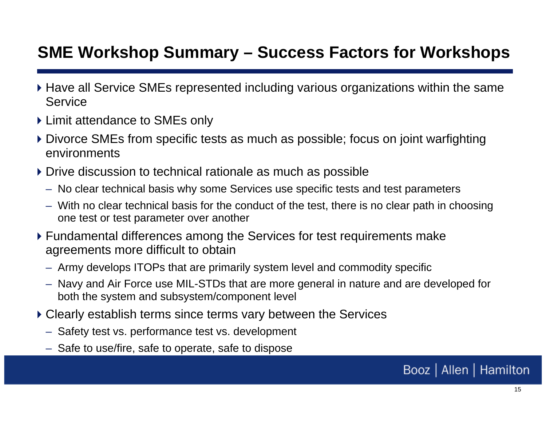### **SME Workshop Summary – Success Factors for Workshops**

- Have all Service SMEs represented including various organizations within the same Service
- ▶ Limit attendance to SMEs only
- Divorce SMEs from specific tests as much as possible; focus on joint warfighting environments
- ▶ Drive discussion to technical rationale as much as possible
	- No clear technical basis why some Services use specific tests and test parameters
	- With no clear technical basis for the conduct of the test, there is no clear path in choosing one test or test parameter over another
- Fundamental differences among the Services for test requirements make agreements more difficult to obtain
	- Army develops ITOPs that are primarily system level and commodity specific
	- Navy and Air Force use MIL-STDs that are more general in nature and are developed for both the system and subsystem/component level
- Clearly establish terms since terms vary between the Services
	- Safety test vs. performance test vs. development
	- Safe to use/fire, safe to operate, safe to dispose

15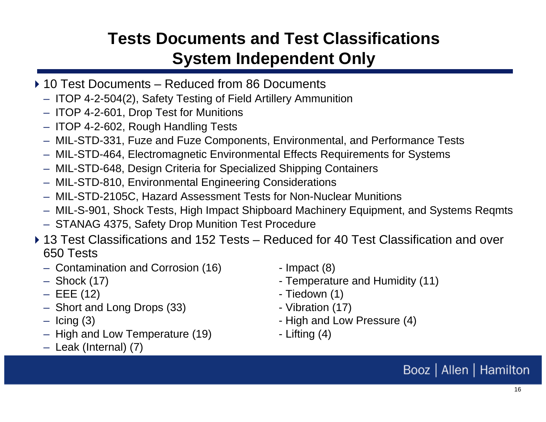### **Tests Documents and Test ClassificationsSystem Independent Only**

- ▶ 10 Test Documents Reduced from 86 Documents
	- ITOP 4-2-504(2), Safety Testing of Field Artillery Ammunition
	- ITOP 4-2-601, Drop Test for Munitions
	- ITOP 4-2-602, Rough Handling Tests
	- MIL-STD-331, Fuze and Fuze Components, Environmental, and Performance Tests
	- MIL-STD-464, Electromagnetic Environmental Effects Requirements for Systems
	- MIL-STD-648, Design Criteria for Specialized Shipping Containers
	- MIL-STD-810, Environmental Engineering Considerations
	- MIL-STD-2105C, Hazard Assessment Tests for Non-Nuclear Munitions
	- MIL-S-901, Shock Tests, High Impact Shipboard Machinery Equipment, and Systems Reqmts
	- STANAG 4375, Safety Drop Munition Test Procedure
- ▶ 13 Test Classifications and 152 Tests Reduced for 40 Test Classification and over 650 Tests
	- Contamination and Corrosion (16) Impact (8)
	- $-$  Shock (17)
	- $-$  EEE (12)
	- Short and Long Drops (33) - Vibration (17)
	- $-$  lcing (3)
	- High and Low Temperature (19) - Lifting (4)
	- Leak (Internal) (7)

- Temperature and Humidity (11)
- Tiedown (1)
- 
- High and Low Pressure (4)
-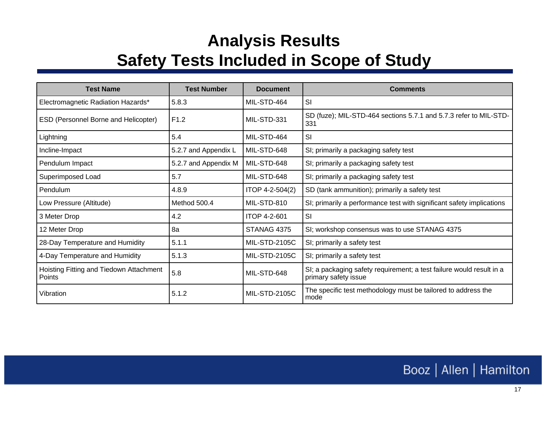### **Analysis Results Safety Tests Included in Scope of Study**

| <b>Test Name</b>                                  | <b>Test Number</b>   | <b>Document</b>      | <b>Comments</b>                                                                              |
|---------------------------------------------------|----------------------|----------------------|----------------------------------------------------------------------------------------------|
| Electromagnetic Radiation Hazards*                | 5.8.3                | MIL-STD-464          | <b>SI</b>                                                                                    |
| ESD (Personnel Borne and Helicopter)              | F <sub>1.2</sub>     | MIL-STD-331          | SD (fuze); MIL-STD-464 sections 5.7.1 and 5.7.3 refer to MIL-STD-<br>331                     |
| Lightning                                         | 5.4                  | MIL-STD-464          | SI                                                                                           |
| Incline-Impact                                    | 5.2.7 and Appendix L | MIL-STD-648          | SI; primarily a packaging safety test                                                        |
| Pendulum Impact                                   | 5.2.7 and Appendix M | MIL-STD-648          | SI; primarily a packaging safety test                                                        |
| Superimposed Load                                 | 5.7                  | MIL-STD-648          | SI; primarily a packaging safety test                                                        |
| Pendulum                                          | 4.8.9                | ITOP 4-2-504(2)      | SD (tank ammunition); primarily a safety test                                                |
| Low Pressure (Altitude)                           | Method 500.4         | MIL-STD-810          | SI; primarily a performance test with significant safety implications                        |
| 3 Meter Drop                                      | 4.2                  | ITOP 4-2-601         | SI                                                                                           |
| 12 Meter Drop                                     | 8a                   | STANAG 4375          | SI; workshop consensus was to use STANAG 4375                                                |
| 28-Day Temperature and Humidity                   | 5.1.1                | <b>MIL-STD-2105C</b> | SI; primarily a safety test                                                                  |
| 4-Day Temperature and Humidity                    | 5.1.3                | <b>MIL-STD-2105C</b> | SI; primarily a safety test                                                                  |
| Hoisting Fitting and Tiedown Attachment<br>Points | 5.8                  | MIL-STD-648          | SI; a packaging safety requirement; a test failure would result in a<br>primary safety issue |
| Vibration                                         | 5.1.2                | <b>MIL-STD-2105C</b> | The specific test methodology must be tailored to address the<br>mode                        |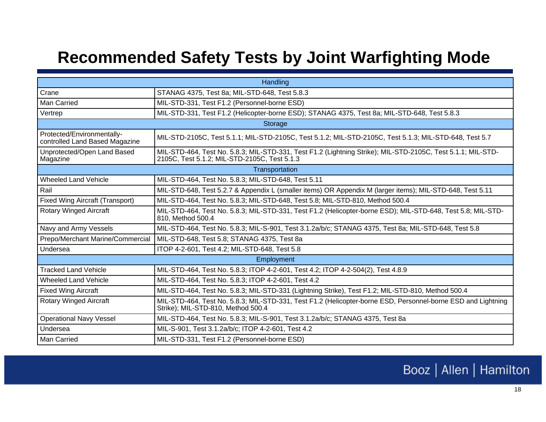### **Recommended Safety Tests by Joint Warfighting Mode**

| Handling                                                     |                                                                                                                                                             |  |  |  |
|--------------------------------------------------------------|-------------------------------------------------------------------------------------------------------------------------------------------------------------|--|--|--|
| Crane                                                        | STANAG 4375, Test 8a; MIL-STD-648, Test 5.8.3                                                                                                               |  |  |  |
| <b>Man Carried</b>                                           | MIL-STD-331, Test F1.2 (Personnel-borne ESD)                                                                                                                |  |  |  |
| Vertrep                                                      | MIL-STD-331, Test F1.2 (Helicopter-borne ESD); STANAG 4375, Test 8a; MIL-STD-648, Test 5.8.3                                                                |  |  |  |
| Storage                                                      |                                                                                                                                                             |  |  |  |
| Protected/Environmentally-<br>controlled Land Based Magazine | MIL-STD-2105C, Test 5.1.1; MIL-STD-2105C, Test 5.1.2; MIL-STD-2105C, Test 5.1.3; MIL-STD-648, Test 5.7                                                      |  |  |  |
| Unprotected/Open Land Based<br>Magazine                      | MIL-STD-464, Test No. 5.8.3; MIL-STD-331, Test F1.2 (Lightning Strike); MIL-STD-2105C, Test 5.1.1; MIL-STD-<br>2105C, Test 5.1.2; MIL-STD-2105C, Test 5.1.3 |  |  |  |
| Transportation                                               |                                                                                                                                                             |  |  |  |
| <b>Wheeled Land Vehicle</b>                                  | MIL-STD-464, Test No. 5.8.3; MIL-STD-648, Test 5.11                                                                                                         |  |  |  |
| Rail                                                         | MIL-STD-648, Test 5.2.7 & Appendix L (smaller items) OR Appendix M (larger items); MIL-STD-648, Test 5.11                                                   |  |  |  |
| <b>Fixed Wing Aircraft (Transport)</b>                       | MIL-STD-464, Test No. 5.8.3; MIL-STD-648, Test 5.8; MIL-STD-810, Method 500.4                                                                               |  |  |  |
| <b>Rotary Winged Aircraft</b>                                | MIL-STD-464, Test No. 5.8.3; MIL-STD-331, Test F1.2 (Helicopter-borne ESD); MIL-STD-648, Test 5.8; MIL-STD-<br>810, Method 500.4                            |  |  |  |
| Navy and Army Vessels                                        | MIL-STD-464, Test No. 5.8.3; MIL-S-901, Test 3.1.2a/b/c; STANAG 4375, Test 8a; MIL-STD-648, Test 5.8                                                        |  |  |  |
| Prepo/Merchant Marine/Commercial                             | MIL-STD-648, Test 5.8; STANAG 4375, Test 8a                                                                                                                 |  |  |  |
| Undersea                                                     | ITOP 4-2-601, Test 4.2; MIL-STD-648, Test 5.8                                                                                                               |  |  |  |
| Employment                                                   |                                                                                                                                                             |  |  |  |
| <b>Tracked Land Vehicle</b>                                  | MIL-STD-464, Test No. 5.8.3; ITOP 4-2-601, Test 4.2; ITOP 4-2-504(2), Test 4.8.9                                                                            |  |  |  |
| <b>Wheeled Land Vehicle</b>                                  | MIL-STD-464, Test No. 5.8.3; ITOP 4-2-601, Test 4.2                                                                                                         |  |  |  |
| <b>Fixed Wing Aircraft</b>                                   | MIL-STD-464, Test No. 5.8.3; MIL-STD-331 (Lightning Strike), Test F1.2; MIL-STD-810, Method 500.4                                                           |  |  |  |
| <b>Rotary Winged Aircraft</b>                                | MIL-STD-464, Test No. 5.8.3; MIL-STD-331, Test F1.2 (Helicopter-borne ESD, Personnel-borne ESD and Lightning<br>Strike); MIL-STD-810, Method 500.4          |  |  |  |
| <b>Operational Navy Vessel</b>                               | MIL-STD-464, Test No. 5.8.3; MIL-S-901, Test 3.1.2a/b/c; STANAG 4375, Test 8a                                                                               |  |  |  |
| Undersea                                                     | MIL-S-901, Test 3.1.2a/b/c; ITOP 4-2-601, Test 4.2                                                                                                          |  |  |  |
| Man Carried                                                  | MIL-STD-331, Test F1.2 (Personnel-borne ESD)                                                                                                                |  |  |  |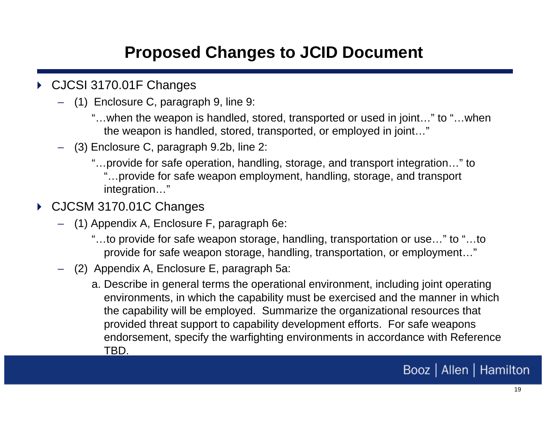### **Proposed Changes to JCID Document**

- ▶ CJCSI 3170.01F Changes
	- (1) Enclosure C, paragraph 9, line 9:
		- "…when the weapon is handled, stored, transported or used in joint…" to "…when the weapon is handled, stored, transported, or employed in joint…"
	- (3) Enclosure C, paragraph 9.2b, line 2:
		- "…provide for safe operation, handling, storage, and transport integration…" to "…provide for safe weapon employment, handling, storage, and transport integration…"
- CJCSM 3170.01C Changes
	- (1) Appendix A, Enclosure F, paragraph 6e:
		- "…to provide for safe weapon storage, handling, transportation or use…" to "…to provide for safe weapon storage, handling, transportation, or employment…"
	- (2) Appendix A, Enclosure E, paragraph 5a:
		- a. Describe in general terms the operational environment, including joint operating environments, in which the capability must be exercised and the manner in which the capability will be employed. Summarize the organizational resources that provided threat support to capability development efforts. For safe weapons endorsement, specify the warfighting environments in accordance with Reference TBD.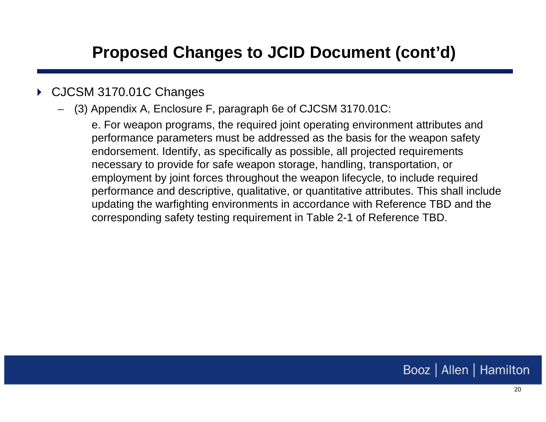### **Proposed Changes to JCID Document (cont'd)**

#### $\blacktriangleright$ CJCSM 3170.01C Changes

– (3) Appendix A, Enclosure F, paragraph 6e of CJCSM 3170.01C:

e. For weapon programs, the required joint operating environment attributes and performance parameters must be addressed as the basis for the weapon safety endorsement. Identify, as specifically as possible, all projected requirements necessary to provide for safe weapon storage, handling, transportation, or employment by joint forces throughout the weapon lifecycle, to include required performance and descriptive, qualitative, or quantitative attributes. This shall include updating the warfighting environments in accordance with Reference TBD and the corresponding safety testing requirement in Table 2-1 of Reference TBD.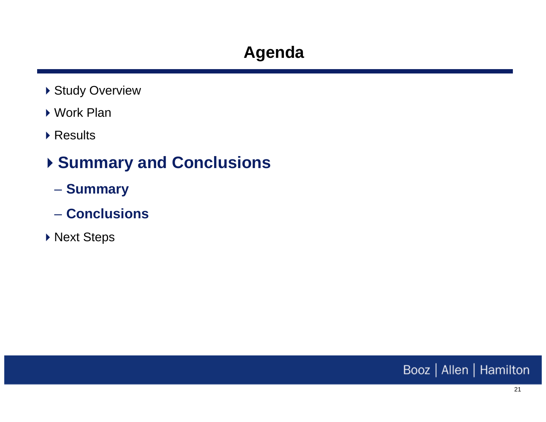- ▶ Study Overview
- ▶ Work Plan
- ▶ Results

### **Summary and Conclusions**

- –**Summary**
- **Conclusions**
- ▶ Next Steps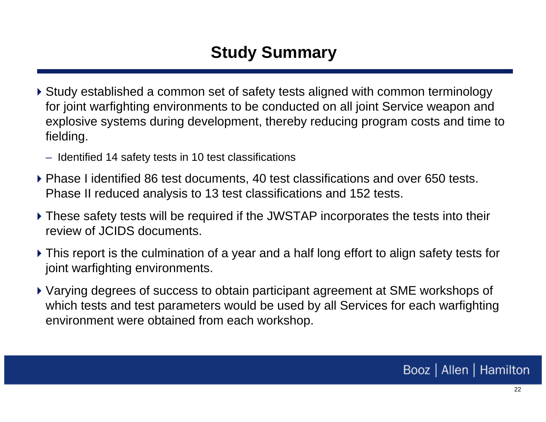### **Study Summary**

- Study established a common set of safety tests aligned with common terminology for joint warfighting environments to be conducted on all joint Service weapon and explosive systems during development, thereby reducing program costs and time to fielding.
	- Identified 14 safety tests in 10 test classifications
- Phase I identified 86 test documents, 40 test classifications and over 650 tests. Phase II reduced analysis to 13 test classifications and 152 tests.
- These safety tests will be required if the JWSTAP incorporates the tests into their review of JCIDS documents.
- This report is the culmination of a year and a half long effort to align safety tests for joint warfighting environments.
- Varying degrees of success to obtain participant agreement at SME workshops of which tests and test parameters would be used by all Services for each warfighting environment were obtained from each workshop.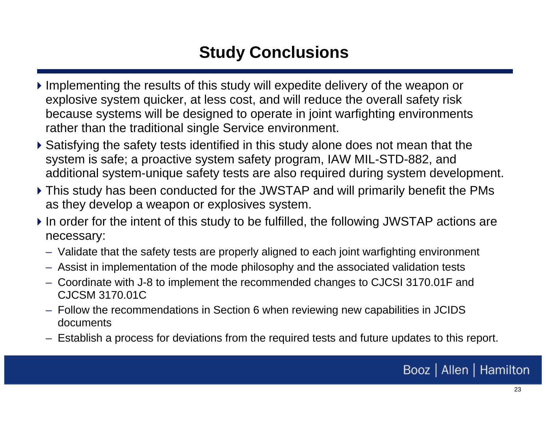### **Study Conclusions**

- Implementing the results of this study will expedite delivery of the weapon or explosive system quicker, at less cost, and will reduce the overall safety risk because systems will be designed to operate in joint warfighting environments rather than the traditional single Service environment.
- Satisfying the safety tests identified in this study alone does not mean that the system is safe; a proactive system safety program, IAW MIL-STD-882, and additional system-unique safety tests are also required during system development.
- This study has been conducted for the JWSTAP and will primarily benefit the PMs as they develop a weapon or explosives system.
- If In order for the intent of this study to be fulfilled, the following JWSTAP actions are necessary:
	- Validate that the safety tests are properly aligned to each joint warfighting environment
	- Assist in implementation of the mode philosophy and the associated validation tests
	- Coordinate with J-8 to implement the recommended changes to CJCSI 3170.01F and CJCSM 3170.01C
	- Follow the recommendations in Section 6 when reviewing new capabilities in JCIDS documents
	- Establish a process for deviations from the required tests and future updates to this report.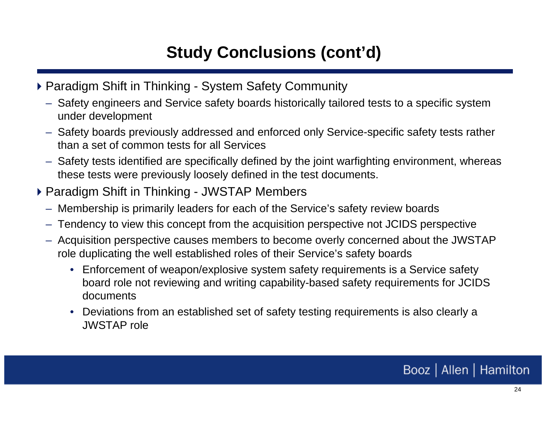### **Study Conclusions (cont'd)**

- ▶ Paradigm Shift in Thinking System Safety Community
	- Safety engineers and Service safety boards historically tailored tests to a specific system under development
	- Safety boards previously addressed and enforced only Service-specific safety tests rather than a set of common tests for all Services
	- Safety tests identified are specifically defined by the joint warfighting environment, whereas these tests were previously loosely defined in the test documents.
- ▶ Paradigm Shift in Thinking JWSTAP Members
	- Membership is primarily leaders for each of the Service's safety review boards
	- –Tendency to view this concept from the acquisition perspective not JCIDS perspective
	- Acquisition perspective causes members to become overly concerned about the JWSTAP role duplicating the well established roles of their Service's safety boards
		- Enforcement of weapon/explosive system safety requirements is a Service safety board role not reviewing and writing capability-based safety requirements for JCIDS documents
		- Deviations from an established set of safety testing requirements is also clearly a JWSTAP role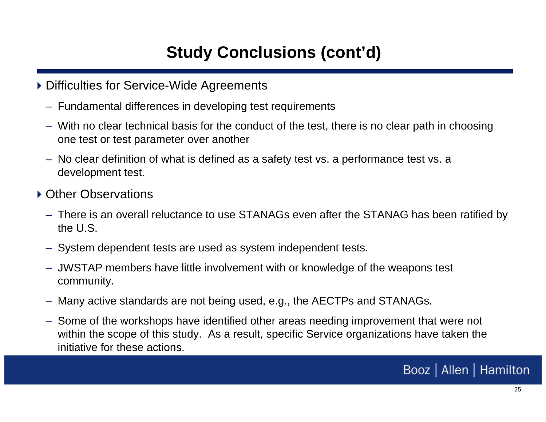### **Study Conclusions (cont'd)**

- ▶ Difficulties for Service-Wide Agreements
	- Fundamental differences in developing test requirements
	- – With no clear technical basis for the conduct of the test, there is no clear path in choosing one test or test parameter over another
	- No clear definition of what is defined as a safety test vs. a performance test vs. a development test.
- ▶ Other Observations
	- There is an overall reluctance to use STANAGs even after the STANAG has been ratified by the U.S.
	- System dependent tests are used as system independent tests.
	- JWSTAP members have little involvement with or knowledge of the weapons test community.
	- Many active standards are not being used, e.g., the AECTPs and STANAGs.
	- Some of the workshops have identified other areas needing improvement that were not within the scope of this study. As a result, specific Service organizations have taken the initiative for these actions.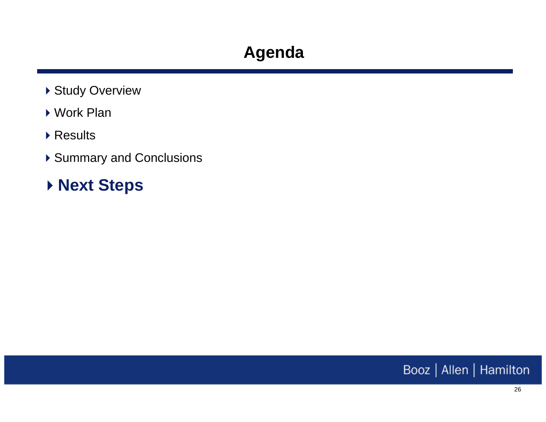- ▶ Study Overview
- Work Plan
- ▶ Results
- ▶ Summary and Conclusions
- **Next Steps**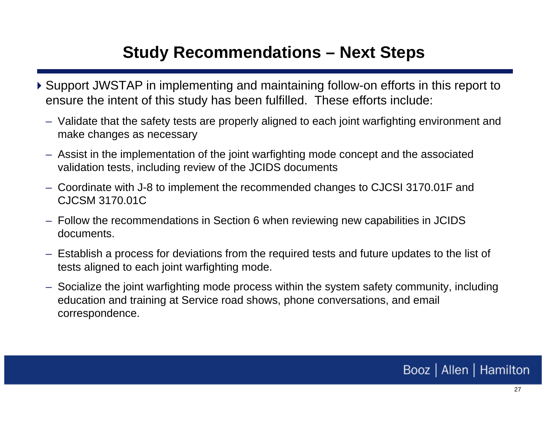### **Study Recommendations – Next Steps**

- Support JWSTAP in implementing and maintaining follow-on efforts in this report to ensure the intent of this study has been fulfilled. These efforts include:
	- Validate that the safety tests are properly aligned to each joint warfighting environment and make changes as necessary
	- Assist in the implementation of the joint warfighting mode concept and the associated validation tests, including review of the JCIDS documents
	- Coordinate with J-8 to implement the recommended changes to CJCSI 3170.01F and CJCSM 3170.01C
	- Follow the recommendations in Section 6 when reviewing new capabilities in JCIDS documents.
	- Establish a process for deviations from the required tests and future updates to the list of tests aligned to each joint warfighting mode.
	- Socialize the joint warfighting mode process within the system safety community, including education and training at Service road shows, phone conversations, and email correspondence.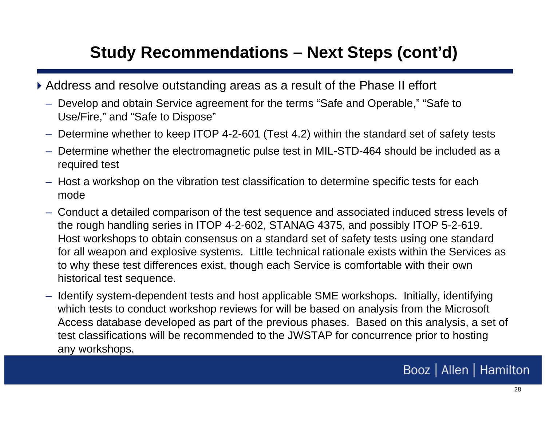### **Study Recommendations – Next Steps (cont'd)**

- Address and resolve outstanding areas as a result of the Phase II effort
	- Develop and obtain Service agreement for the terms "Safe and Operable," "Safe to Use/Fire," and "Safe to Dispose"
	- Determine whether to keep ITOP 4-2-601 (Test 4.2) within the standard set of safety tests
	- Determine whether the electromagnetic pulse test in MIL-STD-464 should be included as a required test
	- Host a workshop on the vibration test classification to determine specific tests for each mode
	- Conduct a detailed comparison of the test sequence and associated induced stress levels of the rough handling series in ITOP 4-2-602, STANAG 4375, and possibly ITOP 5-2-619. Host workshops to obtain consensus on a standard set of safety tests using one standard for all weapon and explosive systems. Little technical rationale exists within the Services as to why these test differences exist, though each Service is comfortable with their own historical test sequence.
	- Identify system-dependent tests and host applicable SME workshops. Initially, identifying which tests to conduct workshop reviews for will be based on analysis from the Microsoft Access database developed as part of the previous phases. Based on this analysis, a set of test classifications will be recommended to the JWSTAP for concurrence prior to hosting any workshops.